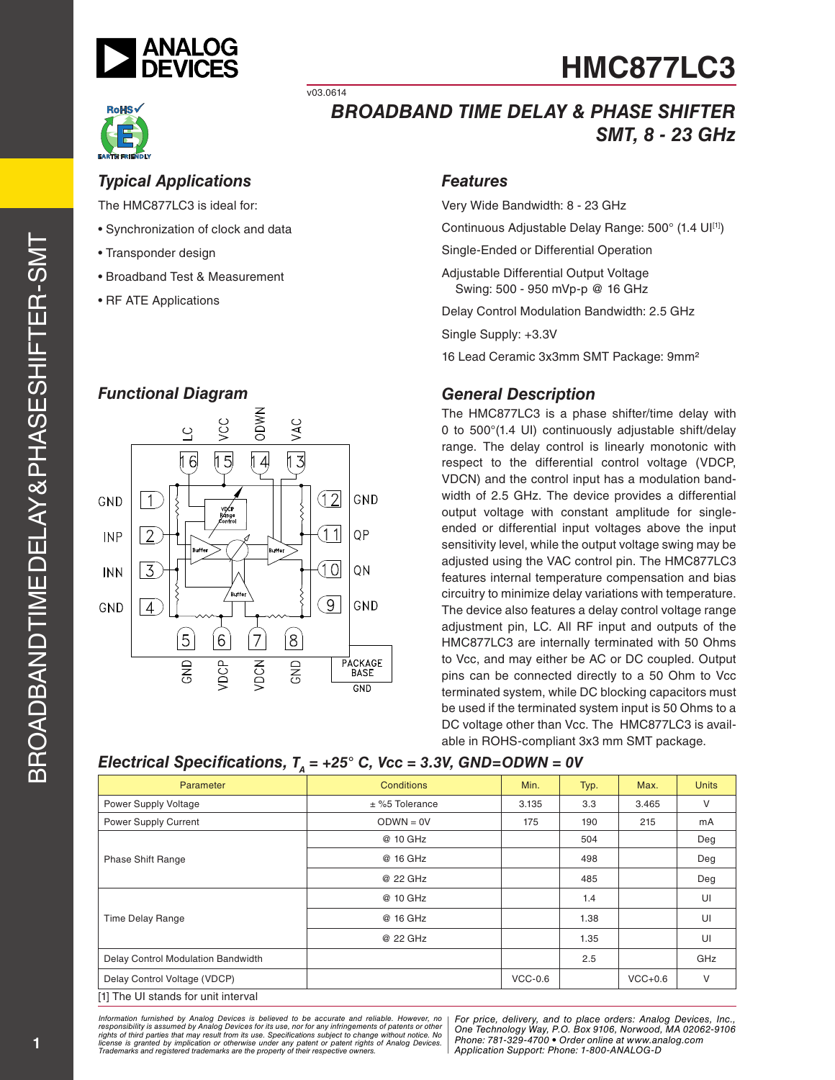



# *BROADBAND TIME DELAY & PHASE SHIFTER SMT, 8 - 23 GHz*

### *Typical Applications*

The HMC877LC3 is ideal for:

- Synchronization of clock and data
- Transponder design
- Broadband Test & Measurement
- RF ATE Applications

#### *Functional Diagram*



#### *Features*

Very Wide Bandwidth: 8 - 23 GHz

Continuous Adjustable Delay Range: 500° (1.4 UI[1])

Single-Ended or Differential Operation

Adjustable Differential Output Voltage Swing: 500 - 950 mVp-p @ 16 GHz

Delay Control Modulation Bandwidth: 2.5 GHz

Single Supply: +3.3V

16 Lead Ceramic 3x3mm SMT Package: 9mm²

### *General Description*

The HMC877LC3 is a phase shifter/time delay with 0 to 500°(1.4 UI) continuously adjustable shift/delay range. The delay control is linearly monotonic with respect to the differential control voltage (VDCP, VDCN) and the control input has a modulation bandwidth of 2.5 GHz. The device provides a differential output voltage with constant amplitude for singleended or differential input voltages above the input sensitivity level, while the output voltage swing may be adjusted using the VAC control pin. The HMC877LC3 features internal temperature compensation and bias circuitry to minimize delay variations with temperature. The device also features a delay control voltage range adjustment pin, LC. All RF input and outputs of the HMC877LC3 are internally terminated with 50 Ohms to Vcc, and may either be AC or DC coupled. Output pins can be connected directly to a 50 Ohm to Vcc terminated system, while DC blocking capacitors must be used if the terminated system input is 50 Ohms to a DC voltage other than Vcc. The HMC877LC3 is available in ROHS-compliant 3x3 mm SMT package.

| Parameter                           | <b>Conditions</b> | Min.      | Typ. | Max.      | <b>Units</b> |
|-------------------------------------|-------------------|-----------|------|-----------|--------------|
| Power Supply Voltage                | $±$ %5 Tolerance  | 3.135     | 3.3  | 3.465     | V            |
| Power Supply Current                | $ODWN = 0V$       | 175       | 190  | 215       | mA           |
|                                     | @ 10 GHz          |           | 504  |           | Deg          |
| Phase Shift Range                   | @ 16 GHz          |           | 498  |           | Deg          |
|                                     | @ 22 GHz          |           | 485  |           | Deg          |
|                                     | @ 10 GHz          |           | 1.4  |           | UI           |
| <b>Time Delay Range</b>             | @ 16 GHz          |           | 1.38 |           | UI           |
|                                     | @ 22 GHz          |           | 1.35 |           | UI           |
| Delay Control Modulation Bandwidth  |                   |           | 2.5  |           | GHz          |
| Delay Control Voltage (VDCP)        |                   | $VCC-0.6$ |      | $VCC+0.6$ | V            |
| [1] The UI stands for unit interval |                   |           |      |           |              |

#### *Electrical Specifications, T<sub>n</sub> = +25° C, Vcc = 3.3V, GND=ODWN = 0V*

v03.0614

*Formation iurnished by Analog Devices is believed to be accurate and reliable. However, no Hor price, delivery, and to place orders: Analog Devices, In<br>roonsibility is assumed by Analog Devices for its use, nor for any pressult from its use. Specifications subject to change without notice. No*<br>ation or otherwise under any patent or patent rights of Analog Devices Phone: 781-329-4700 • Order online at ww *e* the property of their respective owners. **Application Support: Phone: 1-8** *Information furnished by Analog Devices is believed to be accurate and reliable. However, no*  responsibility is assumed by Analog Devices for its use, nor for any infringements of patents or other<br>rights of third parties that may result from its use. Specifications subject to change without notice. No<br>license is gr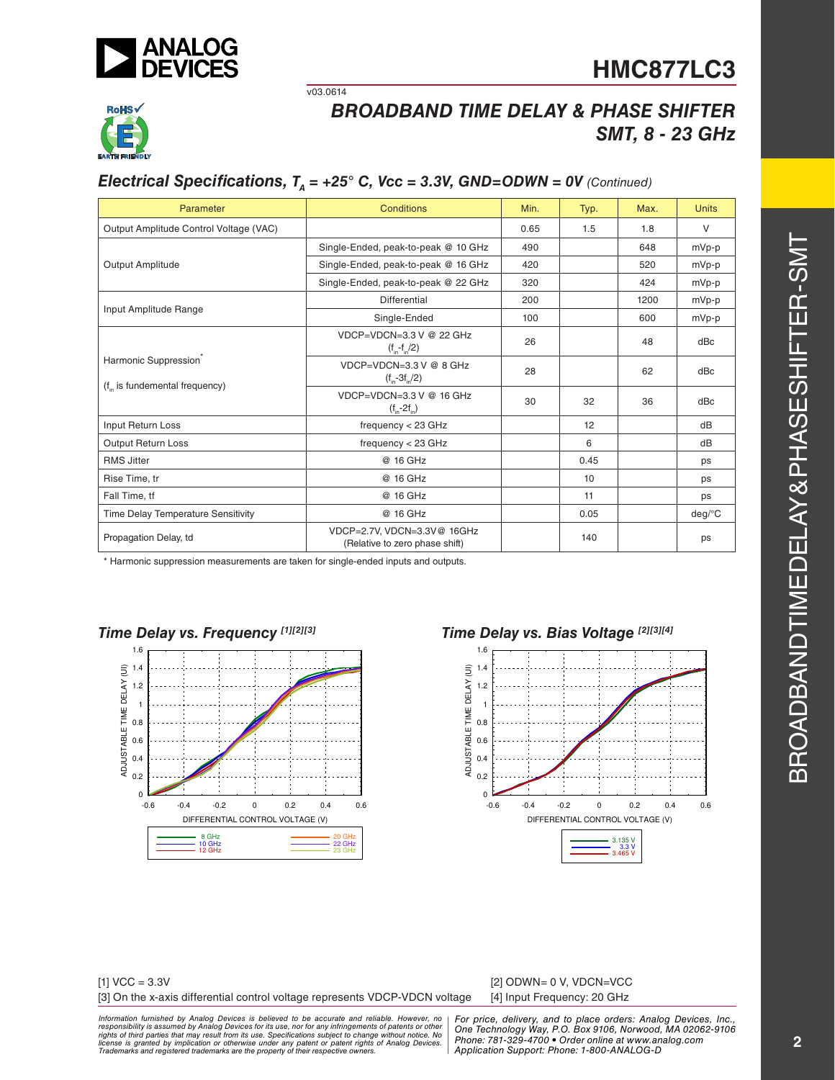



# *BROADBAND TIME DELAY & PHASE SHIFTER SMT, 8 - 23 GHz*

## *Electrical Specifications,*  $T_a = +25^\circ$  *C, Vcc = 3.3V, GND=ODWN = 0V (Continued)*

v03.0614

| Parameter                                                                | Conditions                                                    | Min. | Typ. | Max. | <b>Units</b> |
|--------------------------------------------------------------------------|---------------------------------------------------------------|------|------|------|--------------|
| Output Amplitude Control Voltage (VAC)                                   |                                                               | 0.65 | 1.5  | 1.8  | $\vee$       |
|                                                                          | Single-Ended, peak-to-peak @ 10 GHz                           | 490  |      | 648  | mVp-p        |
| Output Amplitude                                                         | Single-Ended, peak-to-peak @ 16 GHz                           | 420  |      | 520  | mVp-p        |
|                                                                          | Single-Ended, peak-to-peak @ 22 GHz                           | 320  |      | 424  | mVp-p        |
| Input Amplitude Range                                                    | Differential                                                  | 200  |      | 1200 | mVp-p        |
|                                                                          | Single-Ended                                                  | 100  |      | 600  | mVp-p        |
|                                                                          | $VDCP=VDCN=3.3 V @ 22 GHz$<br>$(f_{in} - f_{in}/2)$           | 26   |      | 48   | dBc          |
| Harmonic Suppression <sup>®</sup><br>$(f_{in}$ is fundemental frequency) | $VDCP=VDCN=3.3 V @ B GHZ$<br>$(f_{in} - 3f_{in}/2)$           | 28   |      | 62   | dBc          |
|                                                                          | $VDCP=VDCN=3.3 V @ 16 GHz$<br>$(f_{in} - 2f_{in})$            | 30   | 32   | 36   | dBc          |
| Input Return Loss                                                        | frequency $<$ 23 GHz                                          |      | 12   |      | dB           |
| Output Return Loss                                                       | frequency $<$ 23 GHz                                          |      | 6    |      | dB           |
| <b>RMS Jitter</b>                                                        | @ 16 GHz                                                      |      | 0.45 |      | ps           |
| Rise Time, tr                                                            | @ 16 GHz                                                      |      | 10   |      | ps           |
| Fall Time, tf                                                            | @ 16 GHz                                                      |      | 11   |      | ps           |
| Time Delay Temperature Sensitivity                                       | @ 16 GHz                                                      |      | 0.05 |      | $deg$ /°C    |
| Propagation Delay, td                                                    | VDCP=2.7V, VDCN=3.3V@ 16GHz<br>(Relative to zero phase shift) |      | 140  |      | ps           |

\* Harmonic suppression measurements are taken for single-ended inputs and outputs.









| $[1]$ VCC = 3.3V                                                            | [2] ODWN= 0 V, VDCN=VCC     |
|-----------------------------------------------------------------------------|-----------------------------|
| [3] On the x-axis differential control voltage represents VDCP-VDCN voltage | [4] Input Frequency: 20 GHz |

 $[2]$  ODWN= 0 V, VDCN=VCC

ormation furnished by Analog Devices is believed to be accurate and reliable. However, no | For price, delivery, and to place orders: Analog Devices, Inc.,<br>popsibility is assumed by Analog Devices for its use, not for any *pressult from its use. Specifications subject to change without notice. No*<br>ation or otherwise under any patent or patent rights of Analog Devices Phone: 781-329-4700 • Order online at ww *e* the property of their respective owners. **Application Support: Phone: 1-8** *Information furnished by Analog Devices is believed to be accurate and reliable. However, no*  responsibility is assumed by Analog Devices for its use, nor for any infringements of patents or other<br>rights of third parties that may result from its use. Specifications subject to change without notice. No<br>license is gr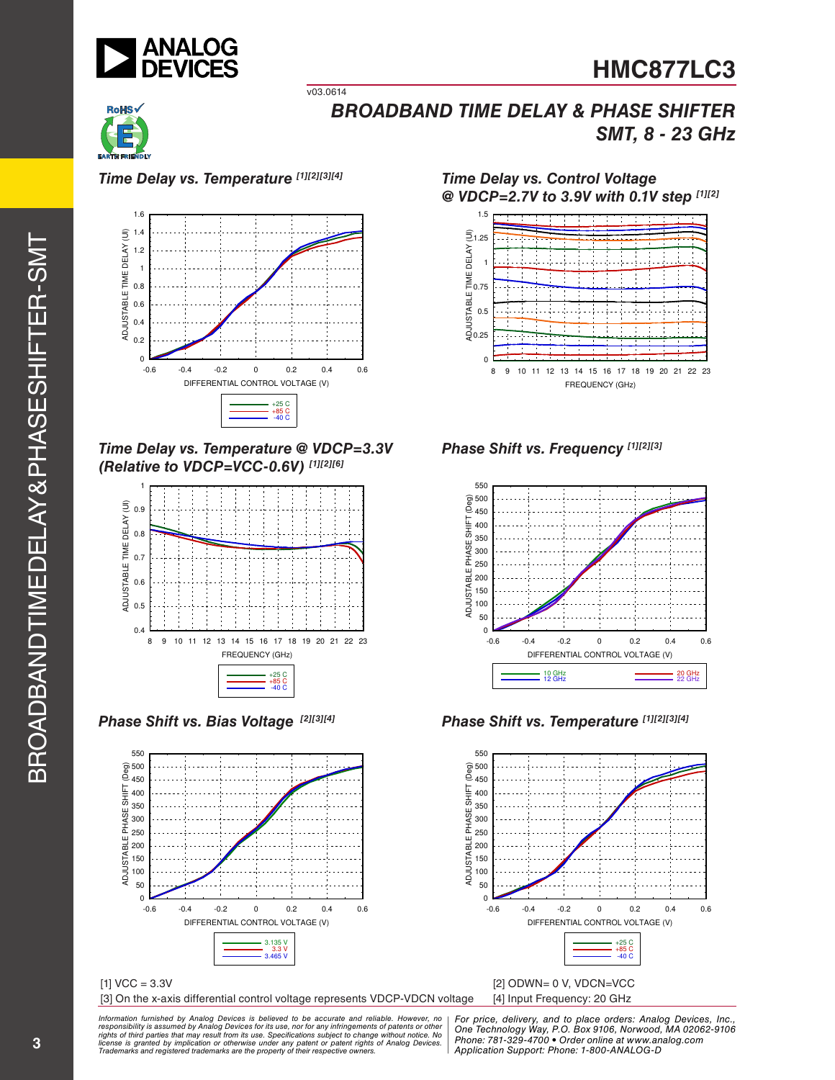



*Time Delay vs. Temperature [1][2][3][4]*

v03.0614



*Time Delay vs. Temperature @ VDCP=3.3V (Relative to VDCP=VCC-0.6V) [1][2][6]*



*Phase Shift vs. Bias Voltage [2][3][4]*



[3] On the x-axis differential control voltage represents VDCP-VDCN voltage [4] Input Frequency: 20 GHz

1.5 *Time Delay vs. Control Voltage @ VDCP=2.7V to 3.9V with 0.1V step [1][2]*



*Phase Shift vs. Frequency [1][2][3]*



*Phase Shift vs. Temperature [1][2][3][4]*



#### ormation furnished by Analog Devices is believed to be accurate and reliable. However, no | For price, delivery, and to place orders: Analog Devices, Inc.,<br>popsibility is assumed by Analog Devices for its use, not for any *pressult from its use. Specifications subject to change without notice. No*<br>ation or otherwise under any patent or patent rights of Analog Devices Phone: 781-329-4700 • Order online at ww *e* the property of their respective owners. **Application Support: Phone: 1-8** *Information furnished by Analog Devices is believed to be accurate and reliable. However, no*  responsibility is assumed by Analog Devices for its use, nor for any infringements of patents or other<br>rights of third parties that may result from its use. Specifications subject to change without notice. No<br>license is gr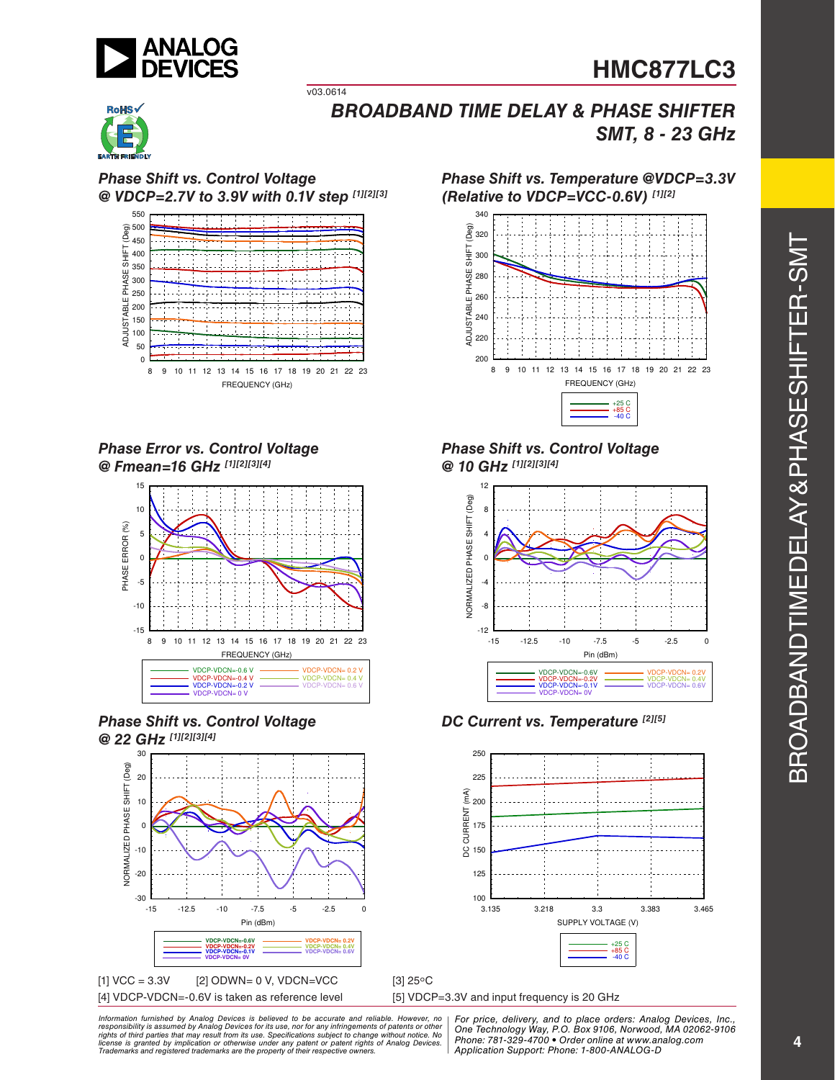



*BROADBAND TIME DELAY & PHASE SHIFTER SMT, 8 - 23 GHz*

*Phase Shift vs. Control Voltage @ VDCP=2.7V to 3.9V with 0.1V step [1][2][3]*

v03.0614



*Phase Error vs. Control Voltage @ Fmean=16 GHz [1][2][3][4]*







80 성<br>280 금무 260

300 320 340

Deg)

⋤ 긍

*(Relative to VDCP=VCC-0.6V) [1][2]*



*Phase Shift vs. Temperature @VDCP=3.3V* 

*Phase Shift vs. Control Voltage @ 10 GHz [1][2][3][4]*



*DC Current vs. Temperature [2][5]*



[5] VDCP=3.3V and input frequency is 20 GHz

ormation furnished by Analog Devices is believed to be accurate and reliable. However, no | For price, delivery, and to place orders: Analog Devices, Inc.,<br>popsibility is assumed by Analog Devices for its use, not for any *pressult from its use. Specifications subject to change without notice. No*<br>ation or otherwise under any patent or patent rights of Analog Devices Phone: 781-329-4700 • Order online at ww *e* the property of their respective owners. **Application Support: Phone: 1-8** *Information furnished by Analog Devices is believed to be accurate and reliable. However, no*  responsibility is assumed by Analog Devices for its use, nor for any infringements of patents or other<br>rights of third parties that may result from its use. Specifications subject to change without notice. No<br>license is gr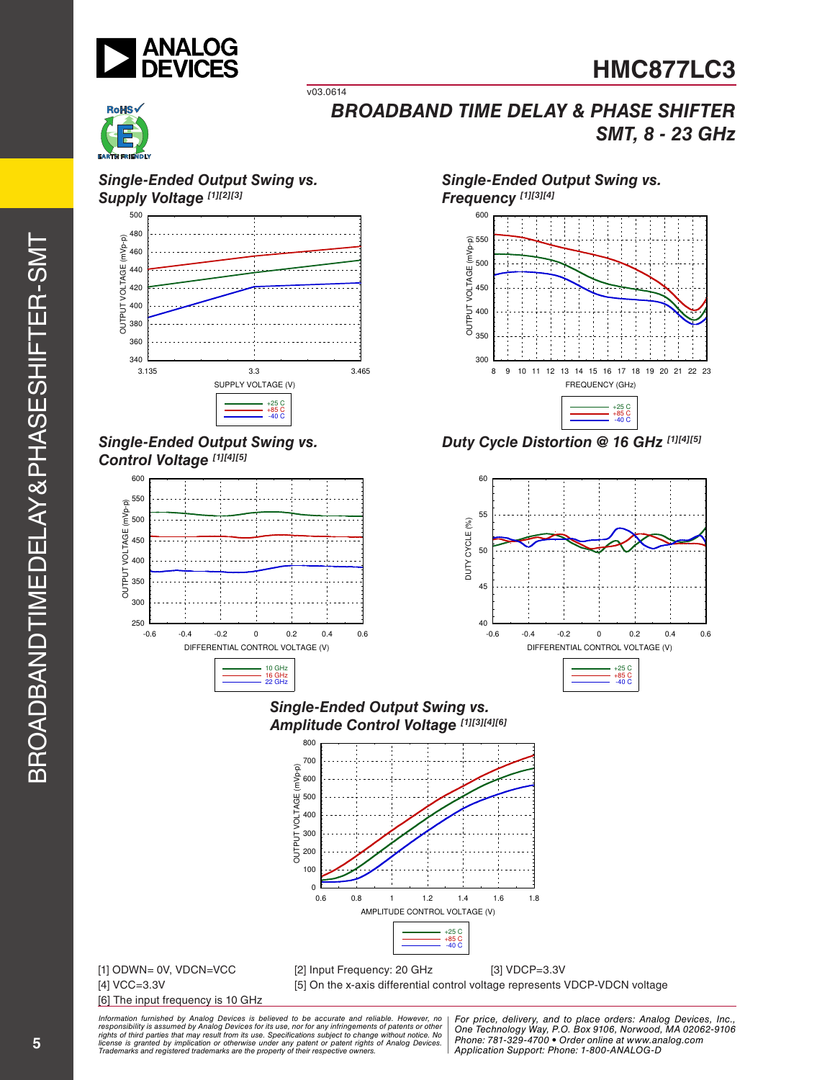



#### *Single-Ended Output Swing vs.*  **Supply Voltage [1][2][3]**



v03.0614

### *Single-Ended Output Swing vs. Control Voltage [1][4][5]*



# *Single-Ended Output Swing vs.*



*Duty Cycle Distortion @ 16 GHz [1][4][5]*



#### *Single-Ended Output Swing vs. Amplitude Control Voltage [1][3][4][6]*



# [6] The input frequency is 10 GHz

[1] ODWN= 0V, VDCN=VCC [2] Input Frequency: 20 GHz [3] VDCP=3.3V [4] VCC=3.3V [5] On the x-axis differential control voltage represents VDCP-VDCN voltage

*Information furnished by Analog Devices is believed to be accurate and reliable. However, no*  responsibility is assumed by Analog Devices for its use, nor for any infringements of patents or other<br>rights of third parties that may result from its use. Specifications subject to change without notice. No<br>license is gr

*Formation iurnished by Analog Devices is believed to be accurate and reliable. However, no Hor price, delivery, and to place orders: Analog Devices, In<br>roonsibility is assumed by Analog Devices for its use, nor for any pressult from its use. Specifications subject to change without notice. No*<br>ation or otherwise under any patent or patent rights of Analog Devices Phone: 781-329-4700 • Order online at ww *e* the property of their respective owners. **Application Support: Phone: 1-8** *For price, delivery, and to place orders: Analog Devices, Inc., One Technology Way, P.O. Box 9106, Norwood, MA 02062-9106 Phone: 781-329-4700 • Order online at www.analog.com Application Support: Phone: 1-800-ANALOG-D*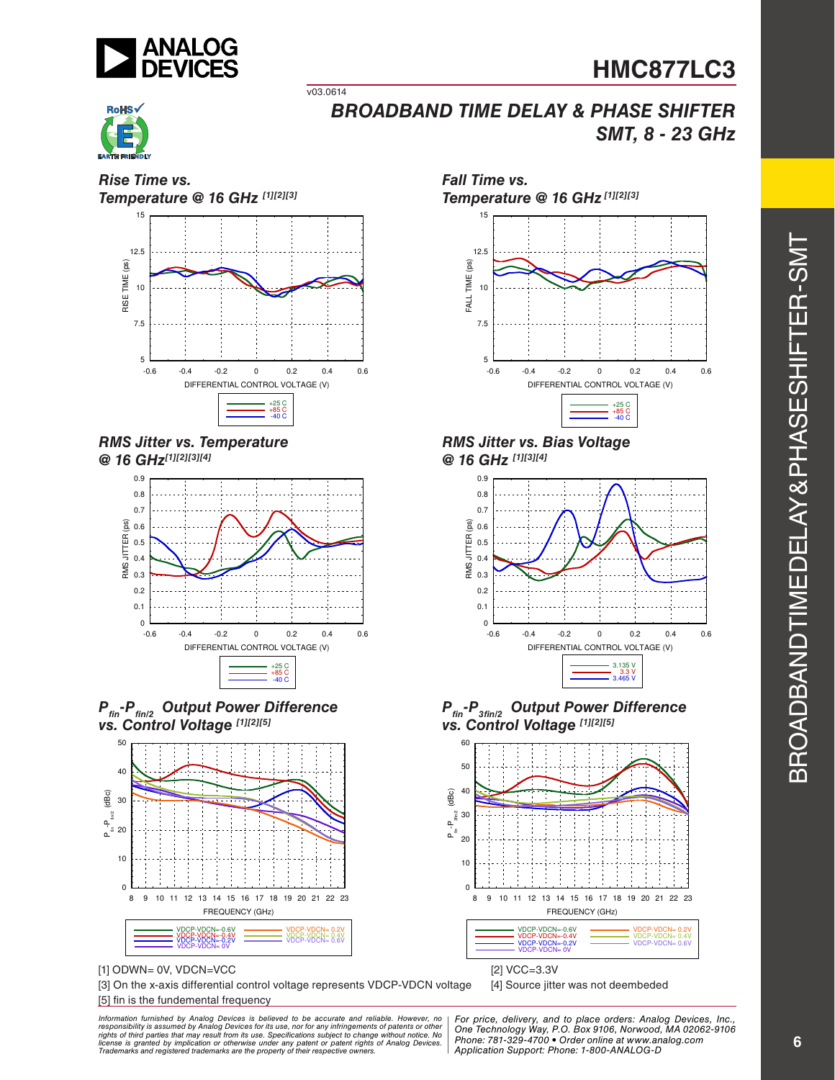



*Rise Time vs.*

*BROADBAND TIME DELAY & PHASE SHIFTER SMT, 8 - 23 GHz*

*Temperature @ 16 GHz [1][2][3]* 15 12.5 TIME (ps) RISE TIME (ps) 10 RISE<sup>-</sup> 7.5 5 -0.6 -0.4 -0.2 0 0.2 0.4 0.6 DIFFERENTIAL CONTROL VOLTAGE (V) +25 C +85 C -40 C

v03.0614

#### *RMS Jitter vs. Temperature @ 16 GHz[1][2][3][4]*







[1] ODWN= 0V, VDCN=VCC [2] VCC=3.3V

[3] On the x-axis differential control voltage represents VDCP-VDCN voltage [4] Source jitter was not deembeded [5] fin is the fundemental frequency

ormation furnished by Analog Devices is believed to be accurate and reliable. However, no | For price, delivery, and to place orders: Analog Devices, Inc.,<br>popsibility is assumed by Analog Devices for its use, not for any *pressult from its use. Specifications subject to change without notice. No*<br>ation or otherwise under any patent or patent rights of Analog Devices Phone: 781-329-4700 • Order online at ww *e* the property of their respective owners. **Application Support: Phone: 1-8** *Information furnished by Analog Devices is believed to be accurate and reliable. However, no*  responsibility is assumed by Analog Devices for its use, nor for any infringements of patents or other<br>rights of third parties that may result from its use. Specifications subject to change without notice. No<br>license is gr



*RMS Jitter vs. Bias Voltage @ 16 GHz [1][3][4]*







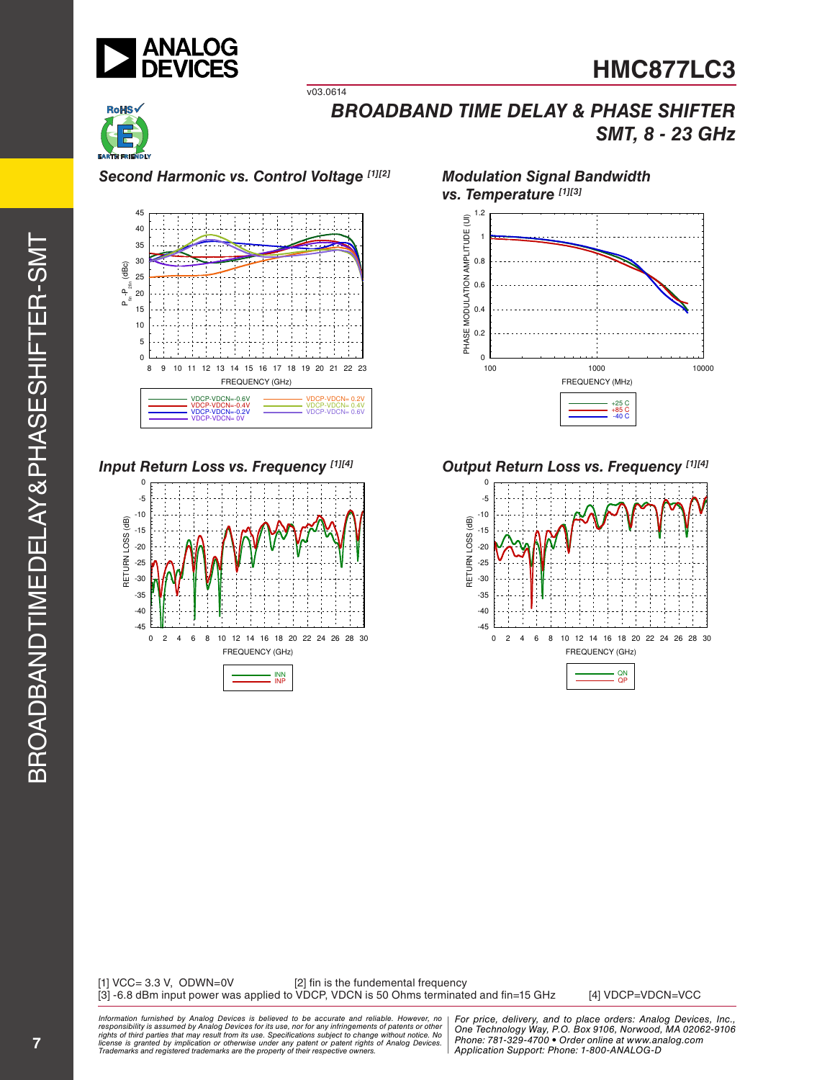



*Second Harmonic vs. Control Voltage [1][2]*

v03.0614



*Input Return Loss vs. Frequency [1][4]*



*Modulation Signal Bandwidth*



*Output Return Loss vs. Frequency [1][4]*



[1] VCC= 3.3 V, ODWN=0V [2] fin is the fundemental frequency [3] -6.8 dBm input power was applied to VDCP, VDCN is 50 Ohms terminated and fin=15 GHz [4] VDCP=VDCN=VCC

ormation furnished by Analog Devices is believed to be accurate and reliable. However, no | For price, delivery, and to place orders: Analog Devices, Inc.,<br>popsibility is assumed by Analog Devices for its use, not for any *pressult from its use. Specifications subject to change without notice. No*<br>ation or otherwise under any patent or patent rights of Analog Devices Phone: 781-329-4700 • Order online at ww *e* the property of their respective owners. **Application Support: Phone: 1-8** *Information furnished by Analog Devices is believed to be accurate and reliable. However, no*  responsibility is assumed by Analog Devices for its use, nor for any infringements of patents or other<br>rights of third parties that may result from its use. Specifications subject to change without notice. No<br>license is gr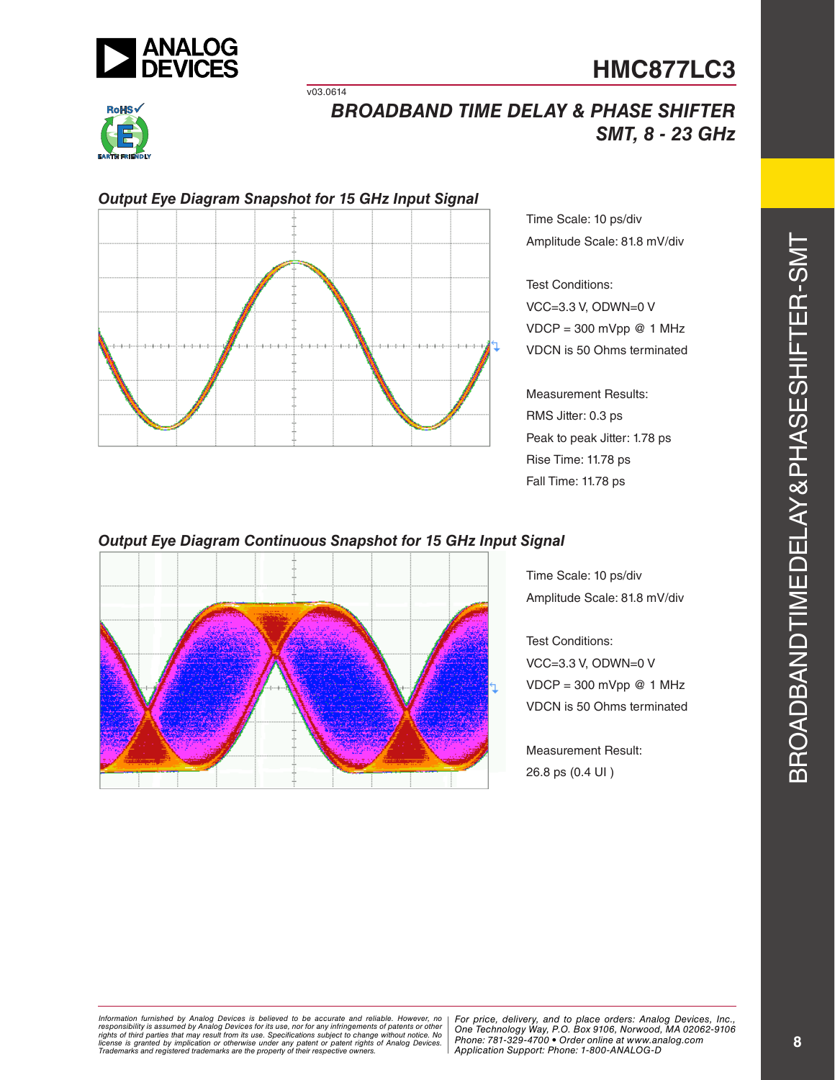



# *BROADBAND TIME DELAY & PHASE SHIFTER SMT, 8 - 23 GHz*



v03.0614

Time Scale: 10 ps/div Amplitude Scale: 81.8 mV/div

Test Conditions: VCC=3.3 V, ODWN=0 V  $VDCP = 300$  mVpp @ 1 MHz VDCN is 50 Ohms terminated

Measurement Results: RMS Jitter: 0.3 ps Peak to peak Jitter: 1.78 ps Rise Time: 11.78 ps Fall Time: 11.78 ps

### *Output Eye Diagram Continuous Snapshot for 15 GHz Input Signal*



Time Scale: 10 ps/div Amplitude Scale: 81.8 mV/div

Test Conditions: VCC=3.3 V, ODWN=0 V  $VDCP = 300$  mVpp @ 1 MHz VDCN is 50 Ohms terminated

Measurement Result: 26.8 ps (0.4 UI )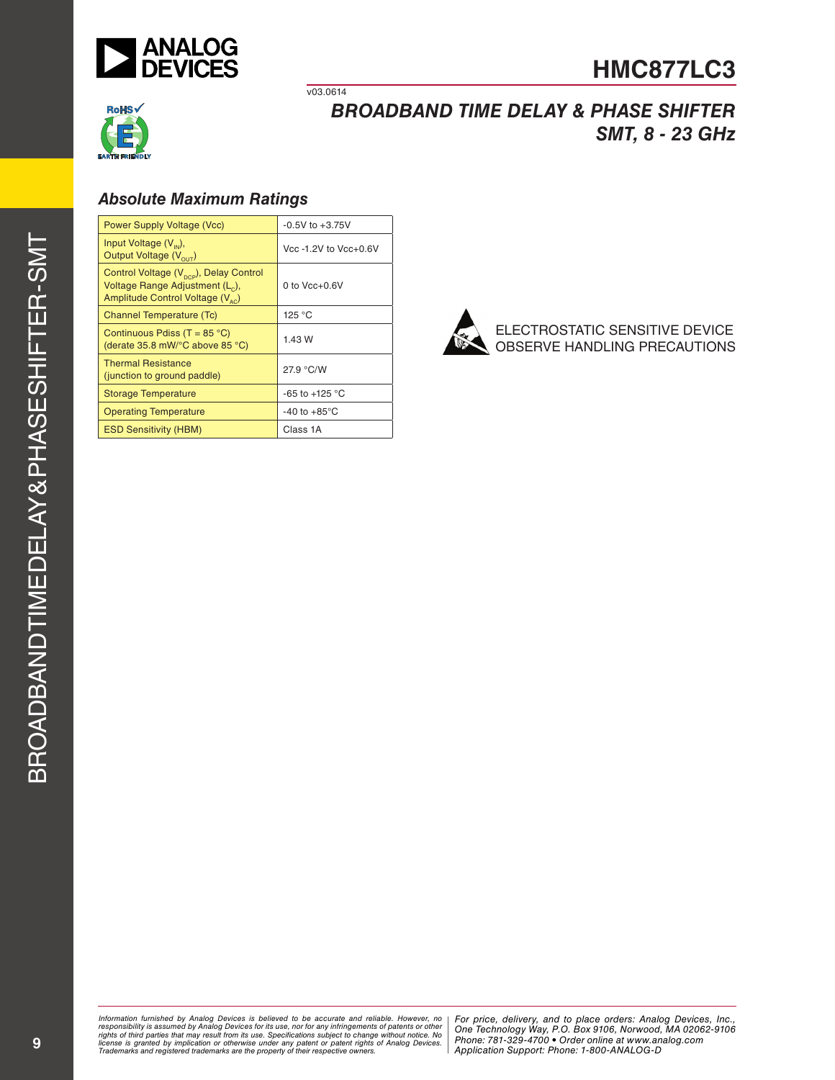



# *BROADBAND TIME DELAY & PHASE SHIFTER SMT, 8 - 23 GHz*

### *Absolute Maximum Ratings*

| <b>Power Supply Voltage (Vcc)</b>                                                                                                                 | $-0.5V$ to $+3.75V$      |
|---------------------------------------------------------------------------------------------------------------------------------------------------|--------------------------|
| Input Voltage $(V_{m}),$<br>Output Voltage $(V_{\text{out}})$                                                                                     | Vcc -1.2V to Vcc+0.6V    |
| Control Voltage (V <sub>pcp</sub> ), Delay Control<br>Voltage Range Adjustment (L <sub>c</sub> ),<br>Amplitude Control Voltage (V <sub>sc</sub> ) | 0 to $Vec+0.6V$          |
| <b>Channel Temperature (Tc)</b>                                                                                                                   | 125 °C                   |
| Continuous Pdiss (T = $85^{\circ}$ C)<br>(derate $35.8$ mW/ $\degree$ C above $85 \degree$ C)                                                     | 1.43 W                   |
| <b>Thermal Resistance</b><br>(junction to ground paddle)                                                                                          | 27.9 °C/W                |
| <b>Storage Temperature</b>                                                                                                                        | $-65$ to $+125$ °C       |
| <b>Operating Temperature</b>                                                                                                                      | $-40$ to $+85^{\circ}$ C |
| <b>ESD Sensitivity (HBM)</b>                                                                                                                      | Class 1A                 |

v03.0614



ELECTROSTATIC SENSITIVE DEVICE OBSERVE HANDLING PRECAUTIONS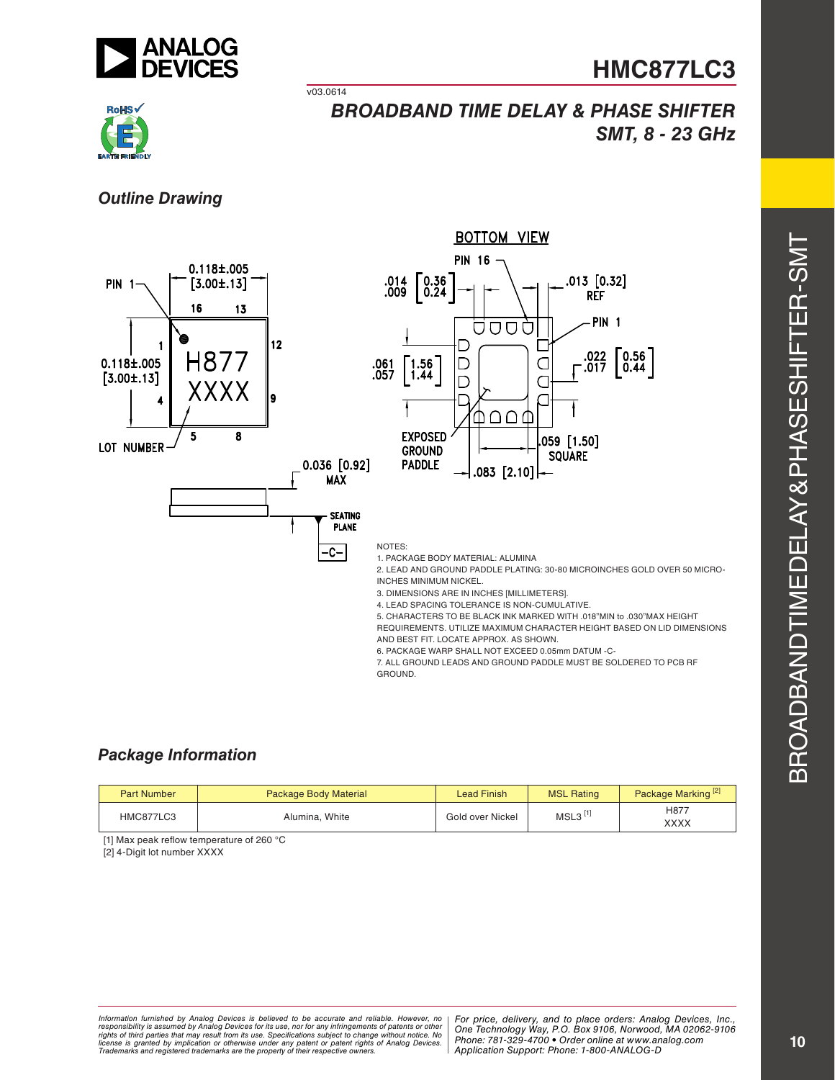



*BROADBAND TIME DELAY & PHASE SHIFTER SMT, 8 - 23 GHz*

### *Outline Drawing*



v03.0614

## *Package Information*

| <b>Part Number</b> | <b>Package Body Material</b> | Lead Finish      | <b>MSL Rating</b>     | Package Marking <sup>[2]</sup> |
|--------------------|------------------------------|------------------|-----------------------|--------------------------------|
| HMC877LC3          | Alumina, White               | Gold over Nickel | $MSL3$ <sup>[1]</sup> | H877<br>XXXX                   |

[1] Max peak reflow temperature of 260 °C

[2] 4-Digit lot number XXXX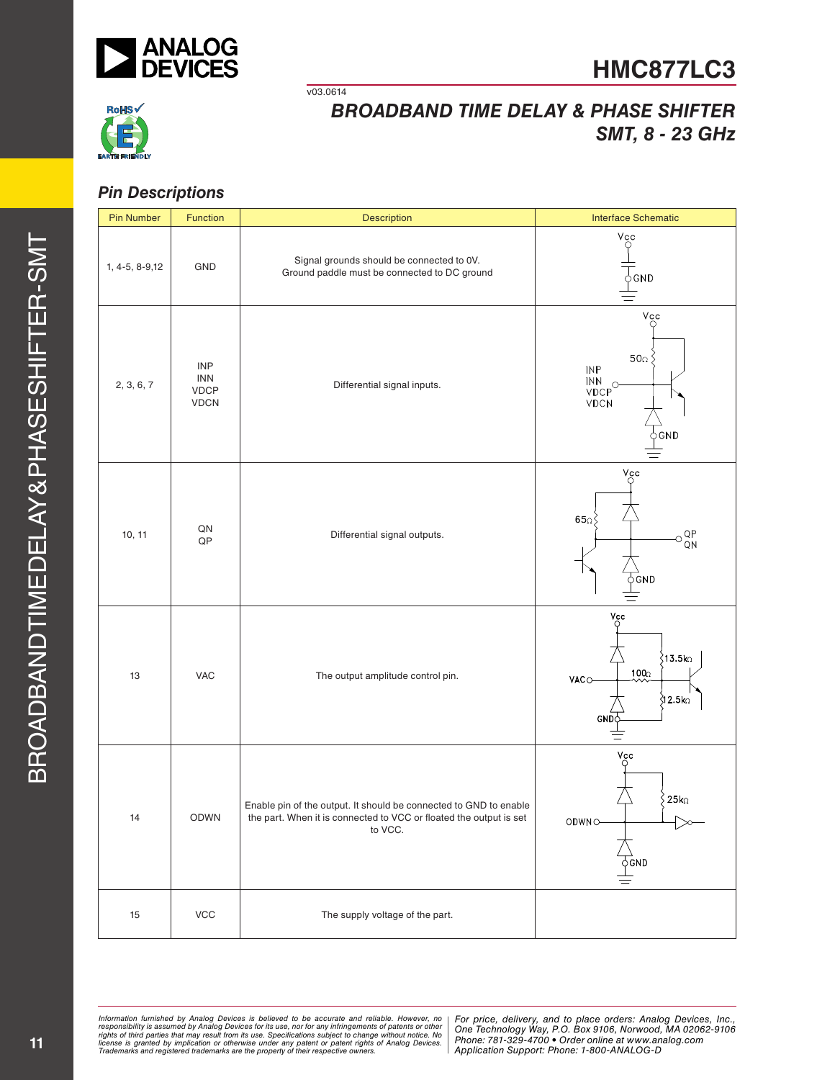

v03.0614



# *BROADBAND TIME DELAY & PHASE SHIFTER SMT, 8 - 23 GHz*

### *Pin Descriptions*

| <b>Pin Number</b> | <b>Function</b>                                        | Description                                                                                                                                        | <b>Interface Schematic</b>                                                                   |  |
|-------------------|--------------------------------------------------------|----------------------------------------------------------------------------------------------------------------------------------------------------|----------------------------------------------------------------------------------------------|--|
| 1, 4-5, 8-9,12    | GND                                                    | Signal grounds should be connected to 0V.<br>Ground paddle must be connected to DC ground                                                          | $V_{\underset{Q}{\circ}}$<br>$\circ$ GND                                                     |  |
| 2, 3, 6, 7        | <b>INP</b><br><b>INN</b><br><b>VDCP</b><br><b>VDCN</b> | Differential signal inputs.                                                                                                                        | Vcc<br>50 $\Omega$<br><b>INP</b><br>$\frac{INN}{VDCP}$<br><b>VDCN</b><br>βGND                |  |
| 10, 11            | QN<br>$\mathsf{QP}$                                    | Differential signal outputs.                                                                                                                       | $\mathrm{V_{C}^{\mathrm{cc}}}$<br>650<br>QP<br>QN<br>€<br>φGND                               |  |
| 13                | <b>VAC</b>                                             | The output amplitude control pin.                                                                                                                  | $V_{\circ}^{\text{cc}}$<br>.<br>∫13.5ko<br>100 <sub>0</sub><br>VACO<br><b>312.5ko</b><br>GND |  |
| 14                | <b>ODWN</b>                                            | Enable pin of the output. It should be connected to GND to enable<br>the part. When it is connected to VCC or floated the output is set<br>to VCC. | Vcc<br>25k<br>ODWNO<br>$\overrightarrow{\phi}$ GND                                           |  |
| $15\,$            | $\ensuremath{\mathsf{VCC}}$                            | The supply voltage of the part.                                                                                                                    |                                                                                              |  |

*Formation iurnished by Analog Devices is believed to be accurate and reliable. However, no Hor price, delivery, and to place orders: Analog Devices, In<br>roonsibility is assumed by Analog Devices for its use, nor for any pressult from its use. Specifications subject to change without notice. No*<br>ation or otherwise under any patent or patent rights of Analog Devices Phone: 781-329-4700 • Order online at ww *e* the property of their respective owners. **Application Support: Phone: 1-8** Information furnished by Analog Devices is believed to be accurate and reliable. However, no<br>responsibility is assumed by Analog Devices for its use, nor for any infringements of patents or other<br>rights of third parties th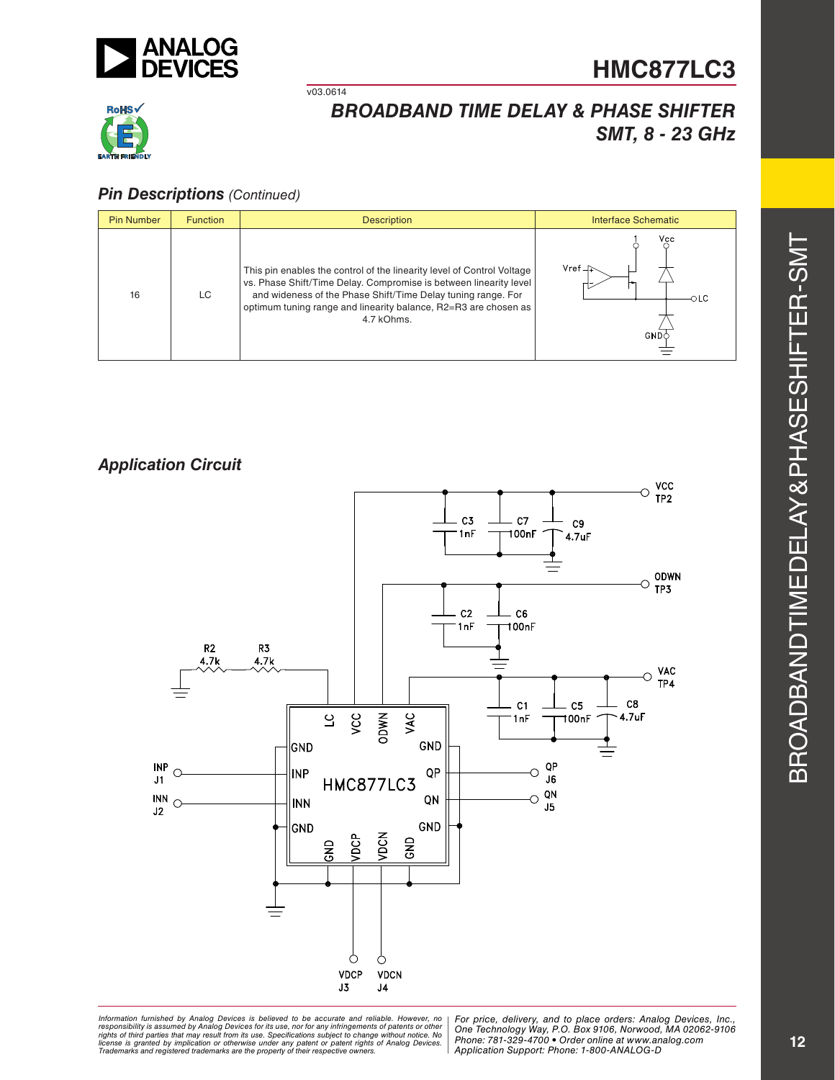



# *BROADBAND TIME DELAY & PHASE SHIFTER SMT, 8 - 23 GHz*

### *Pin Descriptions (Continued)*

| <b>Pin Number</b> | <b>Function</b> | <b>Description</b>                                                                                                                                                                                                                                                                           | Interface Schematic                                  |
|-------------------|-----------------|----------------------------------------------------------------------------------------------------------------------------------------------------------------------------------------------------------------------------------------------------------------------------------------------|------------------------------------------------------|
| 16                | LC              | This pin enables the control of the linearity level of Control Voltage<br>vs. Phase Shift/Time Delay. Compromise is between linearity level<br>and wideness of the Phase Shift/Time Delay tuning range. For<br>optimum tuning range and linearity balance, R2=R3 are chosen as<br>4.7 kOhms. | Vcc<br>$Vref \rightharpoonup$<br>OLC<br><b>GND</b> C |

v03.0614

### *Application Circuit*



*Formation iurnished by Analog Devices is believed to be accurate and reliable. However, no Hor price, delivery, and to place orders: Analog Devices, In<br>roonsibility is assumed by Analog Devices for its use, nor for any pressult from its use. Specifications subject to change without notice. No*<br>ation or otherwise under any patent or patent rights of Analog Devices Phone: 781-329-4700 • Order online at ww *e* the property of their respective owners. **Application Support: Phone: 1-8** Information furnished by Analog Devices is believed to be accurate and reliable. However, no<br>responsibility is assumed by Analog Devices for its use, nor for any infringements of patents or other<br>rights of third parties th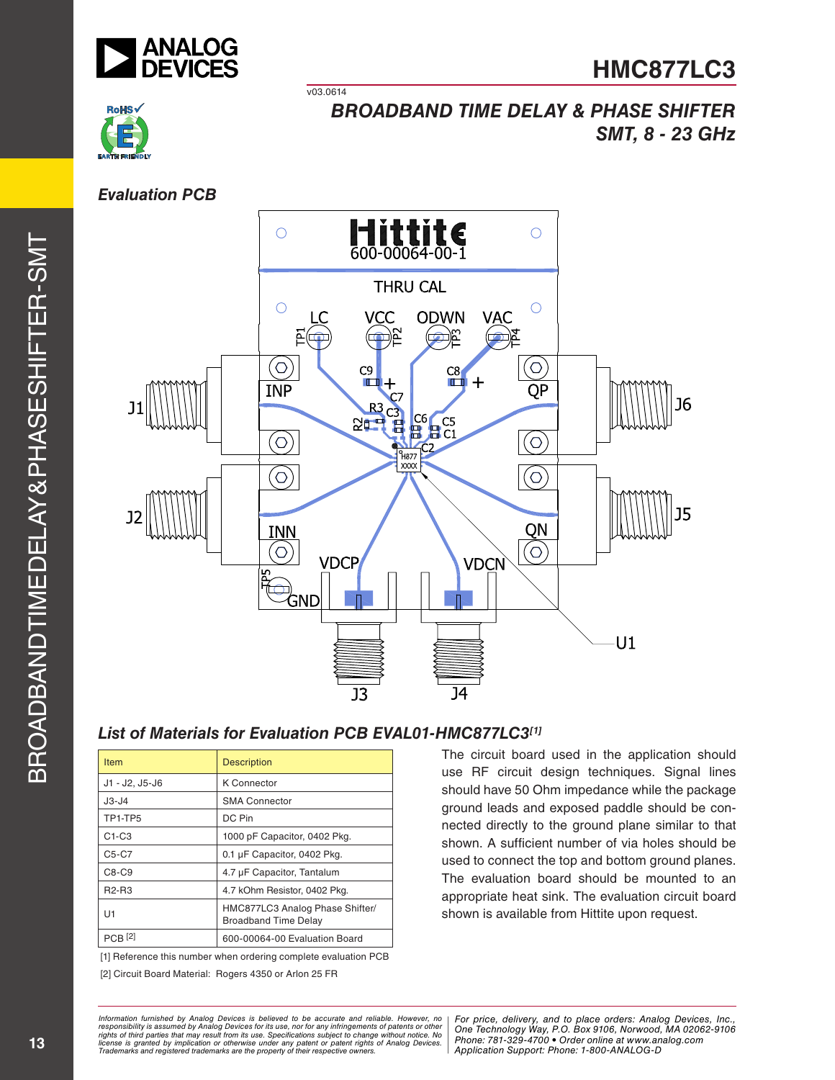



### *Evaluation PCB*



# *List of Materials for Evaluation PCB EVAL01-HMC877LC3[1]*

v03.0614

| <b>Item</b>    | <b>Description</b>                                             |
|----------------|----------------------------------------------------------------|
| J1 - J2, J5-J6 | <b>K</b> Connector                                             |
| $J3-J4$        | <b>SMA Connector</b>                                           |
| TP1-TP5        | DC Pin                                                         |
| $C1-C3$        | 1000 pF Capacitor, 0402 Pkg.                                   |
| $C5-C7$        | 0.1 µF Capacitor, 0402 Pkg.                                    |
| $C8-C9$        | 4.7 µF Capacitor, Tantalum                                     |
| <b>R2-R3</b>   | 4.7 kOhm Resistor, 0402 Pkg.                                   |
| U1             | HMC877LC3 Analog Phase Shifter/<br><b>Broadband Time Delay</b> |
| $PCB$ [2]      | 600-00064-00 Evaluation Board                                  |

[1] Reference this number when ordering complete evaluation PCB

[2] Circuit Board Material: Rogers 4350 or Arlon 25 FR

The circuit board used in the application should use RF circuit design techniques. Signal lines should have 50 Ohm impedance while the package ground leads and exposed paddle should be connected directly to the ground plane similar to that shown. A sufficient number of via holes should be used to connect the top and bottom ground planes. The evaluation board should be mounted to an appropriate heat sink. The evaluation circuit board shown is available from Hittite upon request.

*Information furnished by Analog Devices is believed to be accurate and reliable. However, no*  responsibility is assumed by Analog Devices for its use, nor for any infringements of patents or other<br>rights of third parties that may result from its use. Specifications subject to change without notice. No<br>license is gr